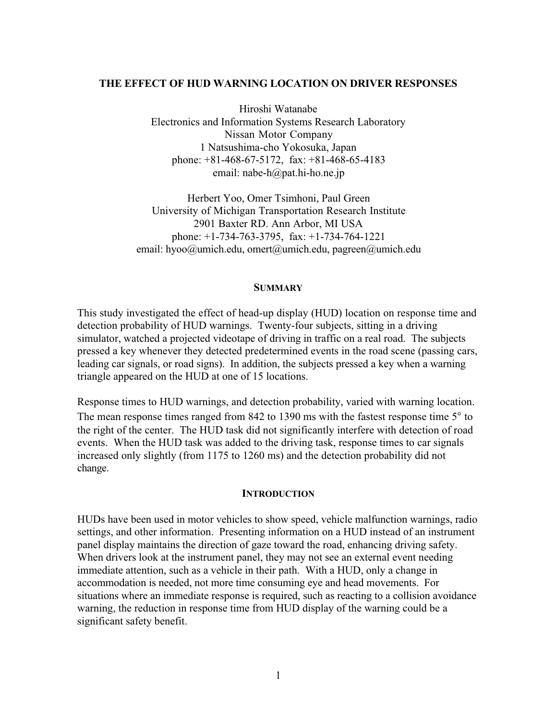#### **THE EFFECT OF HUD WARNING LOCATION ON DRIVER RESPONSES**

Hiroshi Watanabe Electronics and Information Systems Research Laboratory Nissan Motor Company 1 Natsushima-cho Yokosuka, Japan phone: +81-468-67-5172, fax: +81-468-65-4183 email: nabe-h@pat.hi-ho.ne.jp

Herbert Yoo, Omer Tsimhoni, Paul Green University of Michigan Transportation Research Institute 2901 Baxter RD. Ann Arbor, MI USA phone: +1-734-763-3795, fax: +1-734-764-1221 email: hyoo@umich.edu, omert@umich.edu, pagreen@umich.edu

#### **SUMMARY**

This study investigated the effect of head-up display (HUD) location on response time and detection probability of HUD warnings. Twenty-four subjects, sitting in a driving simulator, watched a projected videotape of driving in traffic on a real road. The subjects pressed a key whenever they detected predetermined events in the road scene (passing cars, leading car signals, or road signs). In addition, the subjects pressed a key when a warning triangle appeared on the HUD at one of 15 locations.

Response times to HUD warnings, and detection probability, varied with warning location. The mean response times ranged from 842 to 1390 ms with the fastest response time 5° to the right of the center. The HUD task did not significantly interfere with detection of road events. When the HUD task was added to the driving task, response times to car signals increased only slightly (from 1175 to 1260 ms) and the detection probability did not change.

#### **INTRODUCTION**

HUDs have been used in motor vehicles to show speed, vehicle malfunction warnings, radio settings, and other information. Presenting information on a HUD instead of an instrument panel display maintains the direction of gaze toward the road, enhancing driving safety. When drivers look at the instrument panel, they may not see an external event needing immediate attention, such as a vehicle in their path. With a HUD, only a change in accommodation is needed, not more time consuming eye and head movements. For situations where an immediate response is required, such as reacting to a collision avoidance warning, the reduction in response time from HUD display of the warning could be a significant safety benefit.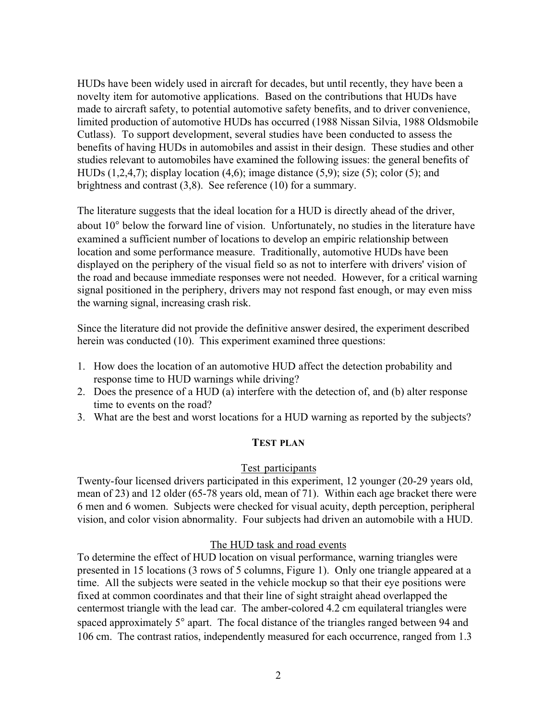HUDs have been widely used in aircraft for decades, but until recently, they have been a novelty item for automotive applications. Based on the contributions that HUDs have made to aircraft safety, to potential automotive safety benefits, and to driver convenience, limited production of automotive HUDs has occurred (1988 Nissan Silvia, 1988 Oldsmobile Cutlass). To support development, several studies have been conducted to assess the benefits of having HUDs in automobiles and assist in their design. These studies and other studies relevant to automobiles have examined the following issues: the general benefits of HUDs  $(1,2,4,7)$ ; display location  $(4,6)$ ; image distance  $(5,9)$ ; size  $(5)$ ; color  $(5)$ ; and brightness and contrast (3,8). See reference (10) for a summary.

The literature suggests that the ideal location for a HUD is directly ahead of the driver, about 10° below the forward line of vision. Unfortunately, no studies in the literature have examined a sufficient number of locations to develop an empiric relationship between location and some performance measure. Traditionally, automotive HUDs have been displayed on the periphery of the visual field so as not to interfere with drivers' vision of the road and because immediate responses were not needed. However, for a critical warning signal positioned in the periphery, drivers may not respond fast enough, or may even miss the warning signal, increasing crash risk.

Since the literature did not provide the definitive answer desired, the experiment described herein was conducted (10). This experiment examined three questions:

- 1. How does the location of an automotive HUD affect the detection probability and response time to HUD warnings while driving?
- 2. Does the presence of a HUD (a) interfere with the detection of, and (b) alter response time to events on the road?
- 3. What are the best and worst locations for a HUD warning as reported by the subjects?

### **TEST PLAN**

### Test participants

Twenty-four licensed drivers participated in this experiment, 12 younger (20-29 years old, mean of 23) and 12 older (65-78 years old, mean of 71). Within each age bracket there were 6 men and 6 women. Subjects were checked for visual acuity, depth perception, peripheral vision, and color vision abnormality. Four subjects had driven an automobile with a HUD.

### The HUD task and road events

To determine the effect of HUD location on visual performance, warning triangles were presented in 15 locations (3 rows of 5 columns, Figure 1). Only one triangle appeared at a time. All the subjects were seated in the vehicle mockup so that their eye positions were fixed at common coordinates and that their line of sight straight ahead overlapped the centermost triangle with the lead car. The amber-colored 4.2 cm equilateral triangles were spaced approximately 5° apart. The focal distance of the triangles ranged between 94 and 106 cm. The contrast ratios, independently measured for each occurrence, ranged from 1.3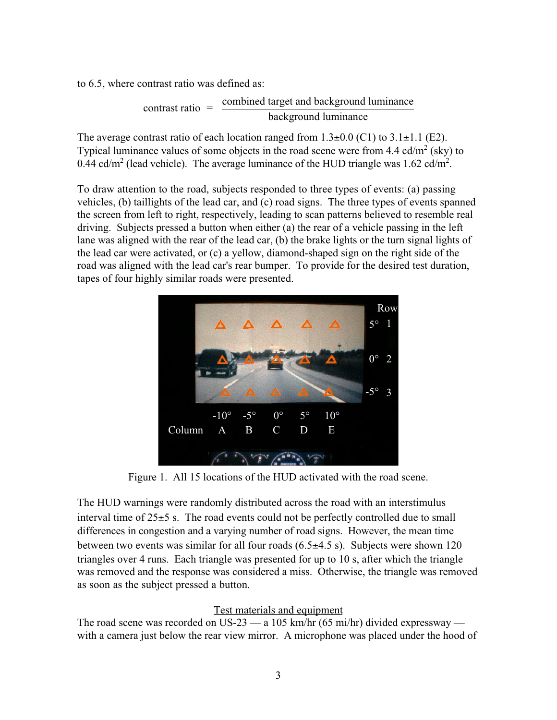to 6.5, where contrast ratio was defined as:

contrast ratio  $=$  combined target and background luminance background luminance

The average contrast ratio of each location ranged from  $1.3\pm0.0$  (C1) to  $3.1\pm1.1$  (E2). Typical luminance values of some objects in the road scene were from  $4.4 \text{ cd/m}^2$  (sky) to 0.44 cd/m<sup>2</sup> (lead vehicle). The average luminance of the HUD triangle was 1.62 cd/m<sup>2</sup>.

To draw attention to the road, subjects responded to three types of events: (a) passing vehicles, (b) taillights of the lead car, and (c) road signs. The three types of events spanned the screen from left to right, respectively, leading to scan patterns believed to resemble real driving. Subjects pressed a button when either (a) the rear of a vehicle passing in the left lane was aligned with the rear of the lead car, (b) the brake lights or the turn signal lights of the lead car were activated, or (c) a yellow, diamond-shaped sign on the right side of the road was aligned with the lead car's rear bumper. To provide for the desired test duration, tapes of four highly similar roads were presented.



Figure 1. All 15 locations of the HUD activated with the road scene.

The HUD warnings were randomly distributed across the road with an interstimulus interval time of  $25\pm 5$  s. The road events could not be perfectly controlled due to small differences in congestion and a varying number of road signs. However, the mean time between two events was similar for all four roads  $(6.5\pm4.5 \text{ s})$ . Subjects were shown 120 triangles over 4 runs. Each triangle was presented for up to 10 s, after which the triangle was removed and the response was considered a miss. Otherwise, the triangle was removed as soon as the subject pressed a button.

# Test materials and equipment

The road scene was recorded on US-23  $-$  a 105 km/hr (65 mi/hr) divided expressway  $$ with a camera just below the rear view mirror. A microphone was placed under the hood of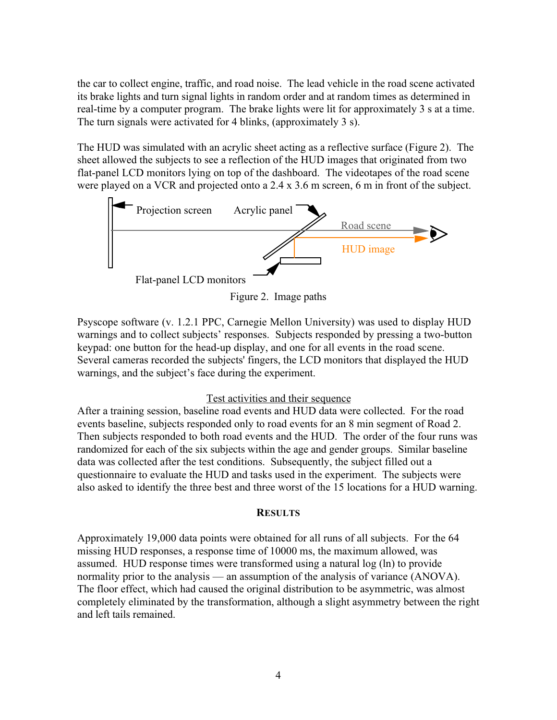the car to collect engine, traffic, and road noise. The lead vehicle in the road scene activated its brake lights and turn signal lights in random order and at random times as determined in real-time by a computer program. The brake lights were lit for approximately 3 s at a time. The turn signals were activated for 4 blinks, (approximately 3 s).

The HUD was simulated with an acrylic sheet acting as a reflective surface (Figure 2). The sheet allowed the subjects to see a reflection of the HUD images that originated from two flat-panel LCD monitors lying on top of the dashboard. The videotapes of the road scene were played on a VCR and projected onto a 2.4 x 3.6 m screen, 6 m in front of the subject.





Psyscope software (v. 1.2.1 PPC, Carnegie Mellon University) was used to display HUD warnings and to collect subjects' responses. Subjects responded by pressing a two-button keypad: one button for the head-up display, and one for all events in the road scene. Several cameras recorded the subjects' fingers, the LCD monitors that displayed the HUD warnings, and the subject's face during the experiment.

# Test activities and their sequence

After a training session, baseline road events and HUD data were collected. For the road events baseline, subjects responded only to road events for an 8 min segment of Road 2. Then subjects responded to both road events and the HUD. The order of the four runs was randomized for each of the six subjects within the age and gender groups. Similar baseline data was collected after the test conditions. Subsequently, the subject filled out a questionnaire to evaluate the HUD and tasks used in the experiment. The subjects were also asked to identify the three best and three worst of the 15 locations for a HUD warning.

# **RESULTS**

Approximately 19,000 data points were obtained for all runs of all subjects. For the 64 missing HUD responses, a response time of 10000 ms, the maximum allowed, was assumed. HUD response times were transformed using a natural log (ln) to provide normality prior to the analysis — an assumption of the analysis of variance (ANOVA). The floor effect, which had caused the original distribution to be asymmetric, was almost completely eliminated by the transformation, although a slight asymmetry between the right and left tails remained.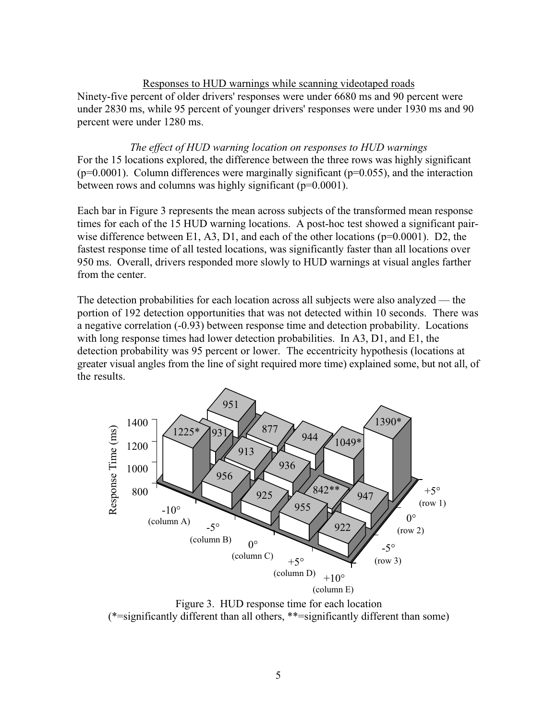## Responses to HUD warnings while scanning videotaped roads

Ninety-five percent of older drivers' responses were under 6680 ms and 90 percent were under 2830 ms, while 95 percent of younger drivers' responses were under 1930 ms and 90 percent were under 1280 ms.

*The effect of HUD warning location on responses to HUD warnings* For the 15 locations explored, the difference between the three rows was highly significant  $(p=0.0001)$ . Column differences were marginally significant  $(p=0.055)$ , and the interaction between rows and columns was highly significant (p=0.0001).

Each bar in Figure 3 represents the mean across subjects of the transformed mean response times for each of the 15 HUD warning locations. A post-hoc test showed a significant pairwise difference between E1, A3, D1, and each of the other locations ( $p=0.0001$ ). D2, the fastest response time of all tested locations, was significantly faster than all locations over 950 ms. Overall, drivers responded more slowly to HUD warnings at visual angles farther from the center.

The detection probabilities for each location across all subjects were also analyzed — the portion of 192 detection opportunities that was not detected within 10 seconds. There was a negative correlation (-0.93) between response time and detection probability. Locations with long response times had lower detection probabilities. In A3, D1, and E1, the detection probability was 95 percent or lower. The eccentricity hypothesis (locations at greater visual angles from the line of sight required more time) explained some, but not all, of the results.



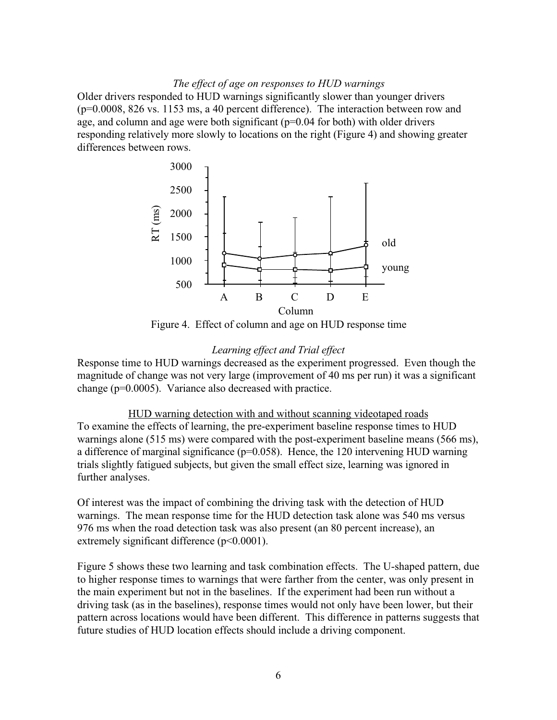#### *The effect of age on responses to HUD warnings*

Older drivers responded to HUD warnings significantly slower than younger drivers (p=0.0008, 826 vs. 1153 ms, a 40 percent difference). The interaction between row and age, and column and age were both significant (p=0.04 for both) with older drivers responding relatively more slowly to locations on the right (Figure 4) and showing greater differences between rows.



Figure 4. Effect of column and age on HUD response time

### *Learning effect and Trial effect*

Response time to HUD warnings decreased as the experiment progressed. Even though the magnitude of change was not very large (improvement of 40 ms per run) it was a significant change (p=0.0005). Variance also decreased with practice.

### HUD warning detection with and without scanning videotaped roads

To examine the effects of learning, the pre-experiment baseline response times to HUD warnings alone (515 ms) were compared with the post-experiment baseline means (566 ms), a difference of marginal significance ( $p=0.058$ ). Hence, the 120 intervening HUD warning trials slightly fatigued subjects, but given the small effect size, learning was ignored in further analyses.

Of interest was the impact of combining the driving task with the detection of HUD warnings. The mean response time for the HUD detection task alone was 540 ms versus 976 ms when the road detection task was also present (an 80 percent increase), an extremely significant difference ( $p$ <0.0001).

Figure 5 shows these two learning and task combination effects. The U-shaped pattern, due to higher response times to warnings that were farther from the center, was only present in the main experiment but not in the baselines. If the experiment had been run without a driving task (as in the baselines), response times would not only have been lower, but their pattern across locations would have been different. This difference in patterns suggests that future studies of HUD location effects should include a driving component.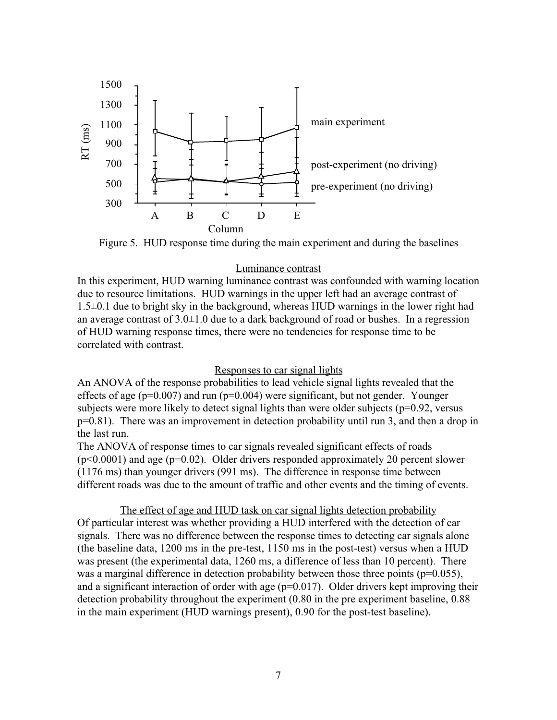

Figure 5. HUD response time during the main experiment and during the baselines

### Luminance contrast

In this experiment, HUD warning luminance contrast was confounded with warning location due to resource limitations. HUD warnings in the upper left had an average contrast of 1.5±0.1 due to bright sky in the background, whereas HUD warnings in the lower right had an average contrast of  $3.0\pm1.0$  due to a dark background of road or bushes. In a regression of HUD warning response times, there were no tendencies for response time to be correlated with contrast.

### Responses to car signal lights

An ANOVA of the response probabilities to lead vehicle signal lights revealed that the effects of age ( $p=0.007$ ) and run ( $p=0.004$ ) were significant, but not gender. Younger subjects were more likely to detect signal lights than were older subjects ( $p=0.92$ , versus p=0.81). There was an improvement in detection probability until run 3, and then a drop in the last run.

The ANOVA of response times to car signals revealed significant effects of roads  $(p<0.0001)$  and age  $(p=0.02)$ . Older drivers responded approximately 20 percent slower (1176 ms) than younger drivers (991 ms). The difference in response time between different roads was due to the amount of traffic and other events and the timing of events.

The effect of age and HUD task on car signal lights detection probability Of particular interest was whether providing a HUD interfered with the detection of car signals. There was no difference between the response times to detecting car signals alone (the baseline data, 1200 ms in the pre-test, 1150 ms in the post-test) versus when a HUD was present (the experimental data, 1260 ms, a difference of less than 10 percent). There was a marginal difference in detection probability between those three points ( $p=0.055$ ), and a significant interaction of order with age ( $p=0.017$ ). Older drivers kept improving their detection probability throughout the experiment (0.80 in the pre experiment baseline, 0.88 in the main experiment (HUD warnings present), 0.90 for the post-test baseline).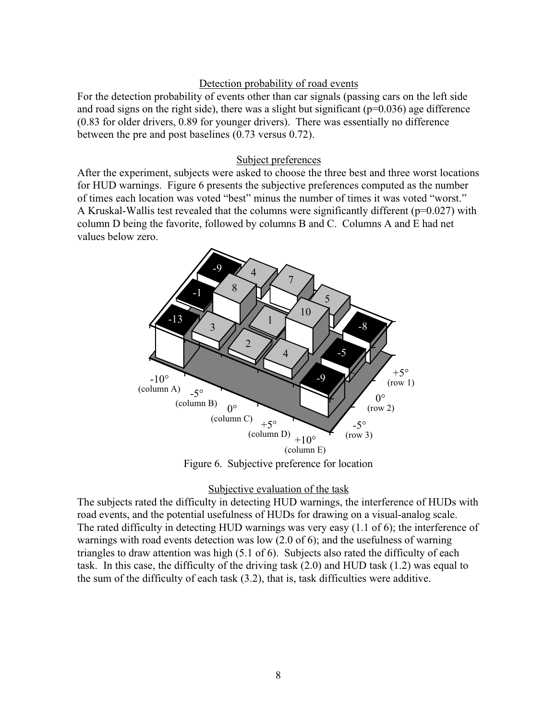# Detection probability of road events

For the detection probability of events other than car signals (passing cars on the left side and road signs on the right side), there was a slight but significant ( $p=0.036$ ) age difference (0.83 for older drivers, 0.89 for younger drivers). There was essentially no difference between the pre and post baselines (0.73 versus 0.72).

### Subject preferences

After the experiment, subjects were asked to choose the three best and three worst locations for HUD warnings. Figure 6 presents the subjective preferences computed as the number of times each location was voted "best" minus the number of times it was voted "worst." A Kruskal-Wallis test revealed that the columns were significantly different ( $p=0.027$ ) with column D being the favorite, followed by columns B and C. Columns A and E had net values below zero.



Figure 6. Subjective preference for location

### Subjective evaluation of the task

The subjects rated the difficulty in detecting HUD warnings, the interference of HUDs with road events, and the potential usefulness of HUDs for drawing on a visual-analog scale. The rated difficulty in detecting HUD warnings was very easy (1.1 of 6); the interference of warnings with road events detection was low (2.0 of 6); and the usefulness of warning triangles to draw attention was high (5.1 of 6). Subjects also rated the difficulty of each task. In this case, the difficulty of the driving task (2.0) and HUD task (1.2) was equal to the sum of the difficulty of each task (3.2), that is, task difficulties were additive.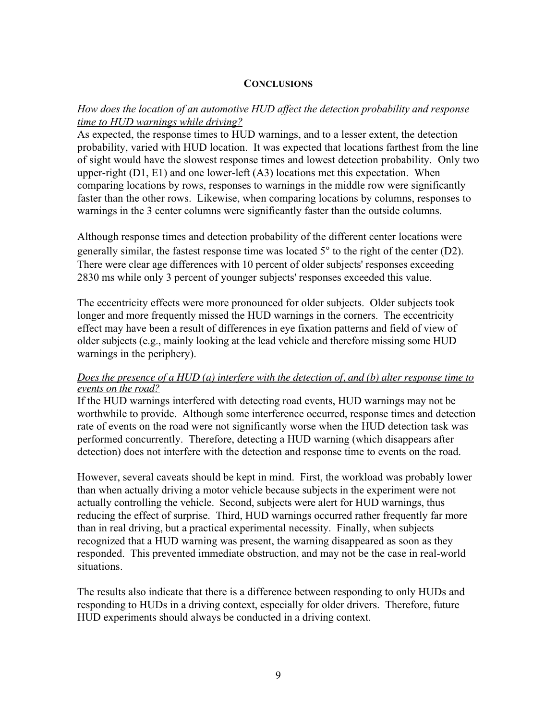# **CONCLUSIONS**

# *How does the location of an automotive HUD affect the detection probability and response time to HUD warnings while driving?*

As expected, the response times to HUD warnings, and to a lesser extent, the detection probability, varied with HUD location. It was expected that locations farthest from the line of sight would have the slowest response times and lowest detection probability. Only two upper-right  $(D1, E1)$  and one lower-left  $(A3)$  locations met this expectation. When comparing locations by rows, responses to warnings in the middle row were significantly faster than the other rows. Likewise, when comparing locations by columns, responses to warnings in the 3 center columns were significantly faster than the outside columns.

Although response times and detection probability of the different center locations were generally similar, the fastest response time was located 5° to the right of the center (D2). There were clear age differences with 10 percent of older subjects' responses exceeding 2830 ms while only 3 percent of younger subjects' responses exceeded this value.

The eccentricity effects were more pronounced for older subjects. Older subjects took longer and more frequently missed the HUD warnings in the corners. The eccentricity effect may have been a result of differences in eye fixation patterns and field of view of older subjects (e.g., mainly looking at the lead vehicle and therefore missing some HUD warnings in the periphery).

# *Does the presence of a HUD (a) interfere with the detection of, and (b) alter response time to events on the road?*

If the HUD warnings interfered with detecting road events, HUD warnings may not be worthwhile to provide. Although some interference occurred, response times and detection rate of events on the road were not significantly worse when the HUD detection task was performed concurrently. Therefore, detecting a HUD warning (which disappears after detection) does not interfere with the detection and response time to events on the road.

However, several caveats should be kept in mind. First, the workload was probably lower than when actually driving a motor vehicle because subjects in the experiment were not actually controlling the vehicle. Second, subjects were alert for HUD warnings, thus reducing the effect of surprise. Third, HUD warnings occurred rather frequently far more than in real driving, but a practical experimental necessity. Finally, when subjects recognized that a HUD warning was present, the warning disappeared as soon as they responded. This prevented immediate obstruction, and may not be the case in real-world situations.

The results also indicate that there is a difference between responding to only HUDs and responding to HUDs in a driving context, especially for older drivers. Therefore, future HUD experiments should always be conducted in a driving context.